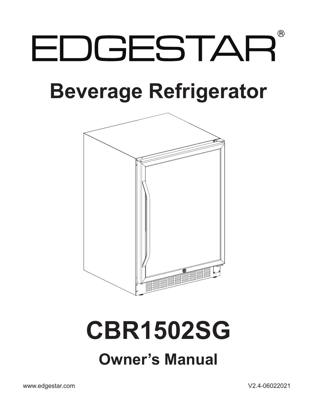# $\circledR$ EDGESTAR

# **Beverage Refrigerator**



# **CBR1502SG Owner's Manual**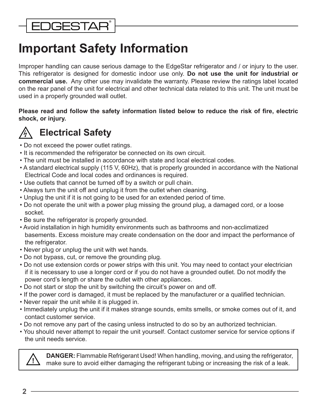## <span id="page-1-0"></span>**Important Safety Information**

Improper handling can cause serious damage to the EdgeStar refrigerator and / or injury to the user. This refrigerator is designed for domestic indoor use only. **Do not use the unit for industrial or commercial use.** Any other use may invalidate the warranty. Please review the ratings label located on the rear panel of the unit for electrical and other technical data related to this unit. The unit must be used in a properly grounded wall outlet.

**Please read and follow the safety information listed below to reduce the risk of fire, electric shock, or injury.** 



### **Electrical Safety**

- Do not exceed the power outlet ratings.
- It is recommended the refrigerator be connected on its own circuit.
- The unit must be installed in accordance with state and local electrical codes.
- A standard electrical supply (115 V, 60Hz), that is properly grounded in accordance with the National Electrical Code and local codes and ordinances is required.
- Use outlets that cannot be turned off by a switch or pull chain.
- Always turn the unit off and unplug it from the outlet when cleaning.
- Unplug the unit if it is not going to be used for an extended period of time.
- Do not operate the unit with a power plug missing the ground plug, a damaged cord, or a loose socket.
- Be sure the refrigerator is properly grounded.
- Avoid installation in high humidity environments such as bathrooms and non-acclimatized basements. Excess moisture may create condensation on the door and impact the performance of the refrigerator.
- Never plug or unplug the unit with wet hands.
- Do not bypass, cut, or remove the grounding plug.
- Do not use extension cords or power strips with this unit. You may need to contact your electrician if it is necessary to use a longer cord or if you do not have a grounded outlet. Do not modify the power cord's length or share the outlet with other appliances.
- Do not start or stop the unit by switching the circuit's power on and off.
- If the power cord is damaged, it must be replaced by the manufacturer or a qualified technician.
- Never repair the unit while it is plugged in.
- Immediately unplug the unit if it makes strange sounds, emits smells, or smoke comes out of it, and contact customer service.
- Do not remove any part of the casing unless instructed to do so by an authorized technician.
- You should never attempt to repair the unit yourself. Contact customer service for service options if the unit needs service.



**DANGER:** Flammable Refrigerant Used! When handling, moving, and using the refrigerator, make sure to avoid either damaging the refrigerant tubing or increasing the risk of a leak. **!**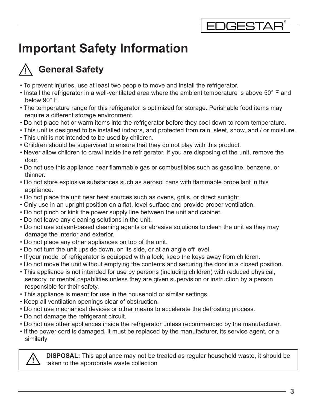## **Important Safety Information**

#### **General Safety !**

- To prevent injuries, use at least two people to move and install the refrigerator.
- Install the refrigerator in a well-ventilated area where the ambient temperature is above 50° F and below 90° F.
- The temperature range for this refrigerator is optimized for storage. Perishable food items may require a different storage environment.
- Do not place hot or warm items into the refrigerator before they cool down to room temperature.
- This unit is designed to be installed indoors, and protected from rain, sleet, snow, and / or moisture. • This unit is not intended to be used by children.
- Children should be supervised to ensure that they do not play with this product.
- Never allow children to crawl inside the refrigerator. If you are disposing of the unit, remove the door.
- Do not use this appliance near flammable gas or combustibles such as gasoline, benzene, or thinner.
- Do not store explosive substances such as aerosol cans with flammable propellant in this appliance.
- Do not place the unit near heat sources such as ovens, grills, or direct sunlight.
- Only use in an upright position on a flat, level surface and provide proper ventilation.
- Do not pinch or kink the power supply line between the unit and cabinet.
- Do not leave any cleaning solutions in the unit.
- Do not use solvent-based cleaning agents or abrasive solutions to clean the unit as they may damage the interior and exterior.
- Do not place any other appliances on top of the unit.
- Do not turn the unit upside down, on its side, or at an angle off level.
- If your model of refrigerator is equipped with a lock, keep the keys away from children.
- Do not move the unit without emptying the contents and securing the door in a closed position.
- This appliance is not intended for use by persons (including children) with reduced physical, sensory, or mental capabilities unless they are given supervision or instruction by a person responsible for their safety.
- This appliance is meant for use in the household or similar settings.
- Keep all ventilation openings clear of obstruction.
- Do not use mechanical devices or other means to accelerate the defrosting process.
- Do not damage the refrigerant circuit.
- Do not use other appliances inside the refrigerator unless recommended by the manufacturer.

• If the power cord is damaged, it must be replaced by the manufacturer, its service agent, or a similarly



**DISPOSAL:** This appliance may not be treated as regular household waste, it should be taken to the appropriate waste collection **!**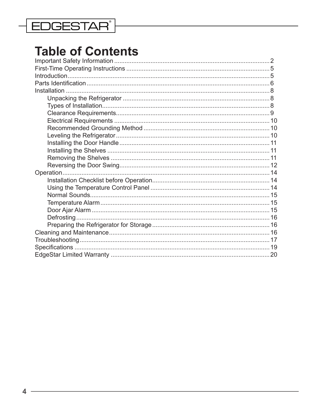### **EDGESTAR**

## **Table of Contents**

| Operation. |  |
|------------|--|
|            |  |
|            |  |
|            |  |
|            |  |
|            |  |
|            |  |
|            |  |
|            |  |
|            |  |
|            |  |
|            |  |
|            |  |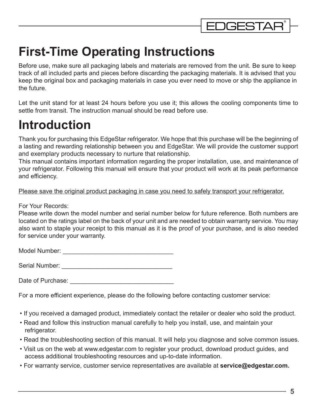

## <span id="page-4-0"></span>**First-Time Operating Instructions**

Before use, make sure all packaging labels and materials are removed from the unit. Be sure to keep track of all included parts and pieces before discarding the packaging materials. It is advised that you keep the original box and packaging materials in case you ever need to move or ship the appliance in the future.

Let the unit stand for at least 24 hours before you use it; this allows the cooling components time to settle from transit. The instruction manual should be read before use.

## **Introduction**

Thank you for purchasing this EdgeStar refrigerator. We hope that this purchase will be the beginning of a lasting and rewarding relationship between you and EdgeStar. We will provide the customer support and exemplary products necessary to nurture that relationship.

This manual contains important information regarding the proper installation, use, and maintenance of your refrigerator. Following this manual will ensure that your product will work at its peak performance and efficiency.

#### Please save the original product packaging in case you need to safely transport your refrigerator.

For Your Records:

Please write down the model number and serial number below for future reference. Both numbers are located on the ratings label on the back of your unit and are needed to obtain warranty service. You may also want to staple your receipt to this manual as it is the proof of your purchase, and is also needed for service under your warranty.

Model Number: \_\_\_\_\_\_\_\_\_\_\_\_\_\_\_\_\_\_\_\_\_\_\_\_\_\_\_\_\_\_\_\_

Serial Number: \_\_\_\_\_\_\_\_\_\_\_\_\_\_\_\_\_\_\_\_\_\_\_\_\_\_\_\_\_\_\_\_

Date of Purchase: **Example 20** 

For a more efficient experience, please do the following before contacting customer service:

- If you received a damaged product, immediately contact the retailer or dealer who sold the product.
- Read and follow this instruction manual carefully to help you install, use, and maintain your refrigerator.
- Read the troubleshooting section of this manual. It will help you diagnose and solve common issues.
- Visit us on the web at www.edgestar.com to register your product, download product guides, and access additional troubleshooting resources and up-to-date information.
- For warranty service, customer service representatives are available at **service@edgestar.com.**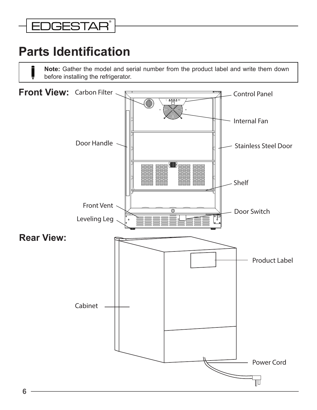### <span id="page-5-0"></span>**EDGESTAR®**

## **Parts Identification**

**Note:** Gather the model and serial number from the product label and write them down before installing the refrigerator.

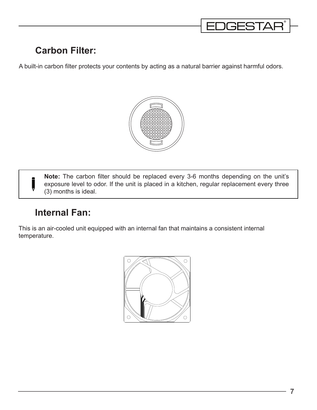

### **Carbon Filter:**

A built-in carbon filter protects your contents by acting as a natural barrier against harmful odors.



**Note:** The carbon filter should be replaced every 3-6 months depending on the unit's exposure level to odor. If the unit is placed in a kitchen, regular replacement every three (3) months is ideal.

#### **Internal Fan:**

This is an air-cooled unit equipped with an internal fan that maintains a consistent internal temperature.

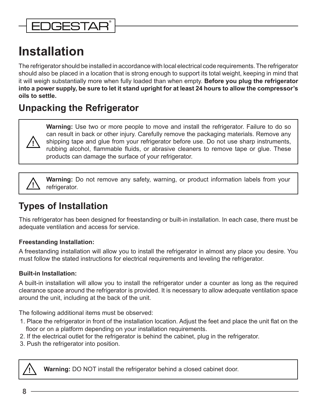### <span id="page-7-0"></span>**DGESTAR**

## **Installation**

The refrigerator should be installed in accordance with local electrical code requirements. The refrigerator should also be placed in a location that is strong enough to support its total weight, keeping in mind that it will weigh substantially more when fully loaded than when empty. **Before you plug the refrigerator into a power supply, be sure to let it stand upright for at least 24 hours to allow the compressor's oils to settle.**

### **Unpacking the Refrigerator**



**Warning:** Use two or more people to move and install the refrigerator. Failure to do so can result in back or other injury. Carefully remove the packaging materials. Remove any shipping tape and glue from your refrigerator before use. Do not use sharp instruments, rubbing alcohol, flammable fluids, or abrasive cleaners to remove tape or glue. These products can damage the surface of your refrigerator.

**Warning:** Do not remove any safety, warning, or product information labels from your refrigerator. **!**

### **Types of Installation**

This refrigerator has been designed for freestanding or built-in installation. In each case, there must be adequate ventilation and access for service.

#### **Freestanding Installation:**

A freestanding installation will allow you to install the refrigerator in almost any place you desire. You must follow the stated instructions for electrical requirements and leveling the refrigerator.

#### **Built-in Installation:**

A built-in installation will allow you to install the refrigerator under a counter as long as the required clearance space around the refrigerator is provided. It is necessary to allow adequate ventilation space around the unit, including at the back of the unit.

The following additional items must be observed:

- 1. Place the refrigerator in front of the installation location. Adjust the feet and place the unit flat on the floor or on a platform depending on your installation requirements.
- 2. If the electrical outlet for the refrigerator is behind the cabinet, plug in the refrigerator.
- 3. Push the refrigerator into position.



**Warning:** DO NOT install the refrigerator behind a closed cabinet door.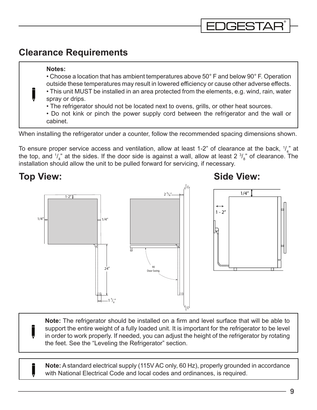#### <span id="page-8-0"></span>**Clearance Requirements**

#### **Notes:**

• Choose a location that has ambient temperatures above 50° F and below 90° F. Operation outside these temperatures may result in lowered efficiency or cause other adverse effects.

**JGESTAR** 

- This unit MUST be installed in an area protected from the elements, e.g. wind, rain, water spray or drips.
- The refrigerator should not be located next to ovens, grills, or other heat sources.
- Do not kink or pinch the power supply cord between the refrigerator and the wall or cabinet.

When installing the refrigerator under a counter, follow the recommended spacing dimensions shown.

To ensure proper service access and ventilation, allow at least 1-2" of clearance at the back,  $\frac{1}{4}$ " at the top, and  $\frac{1}{4}$ " at the sides. If the door side is against a wall, allow at least 2  $\frac{3}{8}$ " of clearance. The installation should allow the unit to be pulled forward for servicing, if necessary.

### 90 Door Swing  $1 <sub>8</sub>$ "  $24'$  $1 - 2''$   $2^3 / 8''$  $1/4"$   $\longrightarrow$   $1/4"$ 1/4"  $1 - 2''$ **Top View: Side View:**

**Note:** The refrigerator should be installed on a firm and level surface that will be able to support the entire weight of a fully loaded unit. It is important for the refrigerator to be level in order to work properly. If needed, you can adjust the height of the refrigerator by rotating the feet. See the "Leveling the Refrigerator" section.

**Note:** A standard electrical supply (115V AC only, 60 Hz), properly grounded in accordance with National Electrical Code and local codes and ordinances, is required.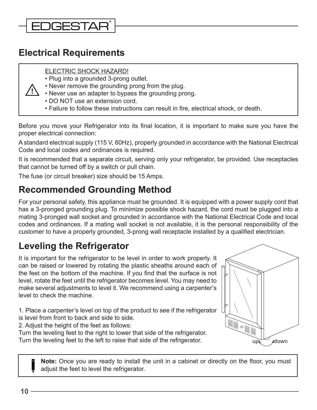### <span id="page-9-0"></span>**DGESTAR®**

#### **Electrical Requirements**

**!**

#### ELECTRIC SHOCK HAZARD!

- Plug into a grounded 3-prong outlet.
- Never remove the grounding prong from the plug.
- Never use an adapter to bypass the grounding prong.
- DO NOT use an extension cord.
- Failure to follow these instructions can result in fire, electrical shock, or death.

Before you move your Refrigerator into its final location, it is important to make sure you have the proper electrical connection:

A standard electrical supply (115 V, 60Hz), properly grounded in accordance with the National Electrical Code and local codes and ordinances is required.

It is recommended that a separate circuit, serving only your refrigerator, be provided. Use receptacles that cannot be turned off by a switch or pull chain.

The fuse (or circuit breaker) size should be 15 Amps.

#### **Recommended Grounding Method**

For your personal safety, this appliance must be grounded. It is equipped with a power supply cord that has a 3-pronged grounding plug. To minimize possible shock hazard, the cord must be plugged into a mating 3-pronged wall socket and grounded in accordance with the National Electrical Code and local codes and ordinances. If a mating wall socket is not available, it is the personal responsibility of the customer to have a properly grounded, 3-prong wall receptacle installed by a qualified electrician.

### **Leveling the Refrigerator**

It is important for the refrigerator to be level in order to work properly. It can be raised or lowered by rotating the plastic sheaths around each of the feet on the bottom of the machine. If you find that the surface is not level, rotate the feet until the refrigerator becomes level. You may need to make several adjustments to level it. We recommend using a carpenter's level to check the machine.

1. Place a carpenter's level on top of the product to see if the refrigerator is level from front to back and side to side.

2. Adjust the height of the feet as follows:

Turn the leveling feet to the right to lower that side of the refrigerator. Turn the leveling feet to the left to raise that side of the refrigerator.



**Note:** Once you are ready to install the unit in a cabinet or directly on the floor, you must adjust the feet to level the refrigerator.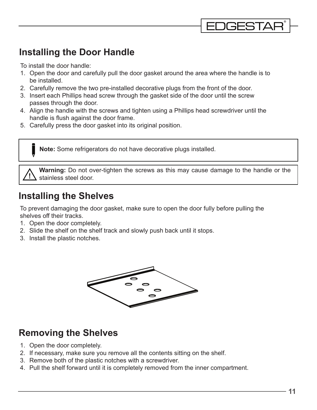#### **Installing the Door Handle**

To install the door handle:

1. Open the door and carefully pull the door gasket around the area where the handle is to be installed.

**DGESTAI** 

- 2. Carefully remove the two pre-installed decorative plugs from the front of the door.
- 3. Insert each Phillips head screw through the gasket side of the door until the screw passes through the door.
- 4. Align the handle with the screws and tighten using a Phillips head screwdriver until the handle is flush against the door frame.
- 5. Carefully press the door gasket into its original position.

**Note:** Some refrigerators do not have decorative plugs installed.

**Warning:** Do not over-tighten the screws as this may cause damage to the handle or the stainless steel door. **!**

#### **Installing the Shelves**

To prevent damaging the door gasket, make sure to open the door fully before pulling the shelves off their tracks.

- 1. Open the door completely.
- 2. Slide the shelf on the shelf track and slowly push back until it stops.
- 3. Install the plastic notches.



#### **Removing the Shelves**

- 1. Open the door completely.
- 2. If necessary, make sure you remove all the contents sitting on the shelf.
- 3. Remove both of the plastic notches with a screwdriver.
- 4. Pull the shelf forward until it is completely removed from the inner compartment.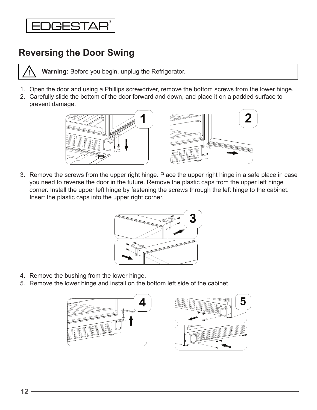### <span id="page-11-0"></span>**JGESTAR®**

#### **Reversing the Door Swing**



**Warning:** Before you begin, unplug the Refrigerator. **!**

- 1. Open the door and using a Phillips screwdriver, remove the bottom screws from the lower hinge.
- 2. Carefully slide the bottom of the door forward and down, and place it on a padded surface to prevent damage.



3. Remove the screws from the upper right hinge. Place the upper right hinge in a safe place in case you need to reverse the door in the future. Remove the plastic caps from the upper left hinge corner. Install the upper left hinge by fastening the screws through the left hinge to the cabinet. Insert the plastic caps into the upper right corner.



- 4. Remove the bushing from the lower hinge.
- 5. Remove the lower hinge and install on the bottom left side of the cabinet.



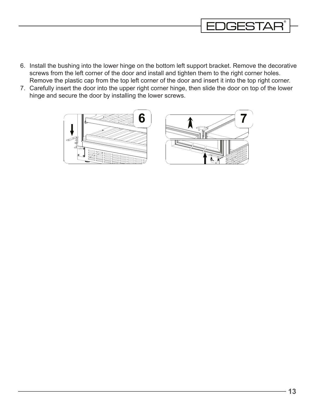

- 6. Install the bushing into the lower hinge on the bottom left support bracket. Remove the decorative screws from the left corner of the door and install and tighten them to the right corner holes. Remove the plastic cap from the top left corner of the door and insert it into the top right corner.
- 7. Carefully insert the door into the upper right corner hinge, then slide the door on top of the lower hinge and secure the door by installing the lower screws.

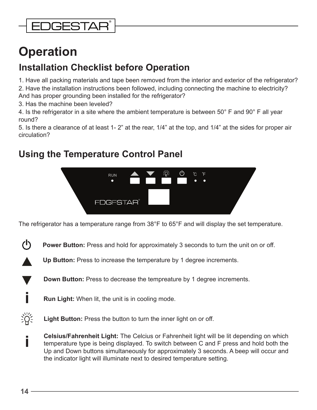## <span id="page-13-0"></span>**Operation**

### **Installation Checklist before Operation**

1. Have all packing materials and tape been removed from the interior and exterior of the refrigerator?

2. Have the installation instructions been followed, including connecting the machine to electricity? And has proper grounding been installed for the refrigerator?

3. Has the machine been leveled?

4. Is the refrigerator in a site where the ambient temperature is between 50° F and 90° F all year round?

5. Is there a clearance of at least 1- 2" at the rear, 1/4" at the top, and 1/4" at the sides for proper air circulation?

### **Using the Temperature Control Panel**



The refrigerator has a temperature range from 38°F to 65°F and will display the set temperature.

ረካ **Power Button:** Press and hold for approximately 3 seconds to turn the unit on or off.

**Up Button:** Press to increase the temperature by 1 degree increments.

**Down Button:** Press to decrease the tempreature by 1 degree increments.

**Run Light:** When lit, the unit is in cooling mode. **i**

淡 **Light Button:** Press the button to turn the inner light on or off.

**Celsius/Fahrenheit Light:** The Celcius or Fahrenheit light will be lit depending on which temperature type is being displayed. To switch between C and F press and hold both the Up and Down buttons simultaneously for approximately 3 seconds. A beep will occur and the indicator light will illuminate next to desired temperature setting.

**i**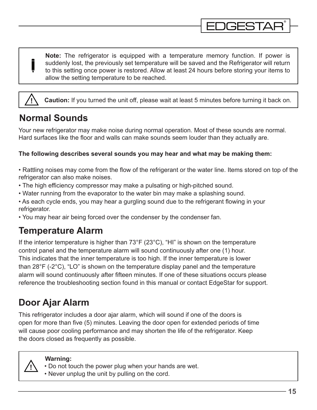<span id="page-14-0"></span>**Note:** The refrigerator is equipped with a temperature memory function. If power is suddenly lost, the previously set temperature will be saved and the Refrigerator will return to this setting once power is restored. Allow at least 24 hours before storing your items to allow the setting temperature to be reached.

**DGESTAR** 

**Caution:** If you turned the unit off, please wait at least 5 minutes before turning it back on. **!**

#### **Normal Sounds**

Your new refrigerator may make noise during normal operation. Most of these sounds are normal. Hard surfaces like the floor and walls can make sounds seem louder than they actually are.

#### **The following describes several sounds you may hear and what may be making them:**

- Rattling noises may come from the flow of the refrigerant or the water line. Items stored on top of the refrigerator can also make noises.
- The high efficiency compressor may make a pulsating or high-pitched sound.
- Water running from the evaporator to the water bin may make a splashing sound.
- As each cycle ends, you may hear a gurgling sound due to the refrigerant flowing in your refrigerator.
- You may hear air being forced over the condenser by the condenser fan.

#### **Temperature Alarm**

If the interior temperature is higher than 73°F (23°C), "HI" is shown on the temperature control panel and the temperature alarm will sound continuously after one (1) hour. This indicates that the inner temperature is too high. If the inner temperature is lower than 28°F (-2°C), "LO" is shown on the temperature display panel and the temperature alarm will sound continuously after fifteen minutes. If one of these situations occurs please reference the troubleshooting section found in this manual or contact EdgeStar for support.

### **Door Ajar Alarm**

This refrigerator includes a door ajar alarm, which will sound if one of the doors is open for more than five (5) minutes. Leaving the door open for extended periods of time will cause poor cooling performance and may shorten the life of the refrigerator. Keep the doors closed as frequently as possible.



#### **Warning:**

- Do not touch the power plug when your hands are wet.
- Never unplug the unit by pulling on the cord.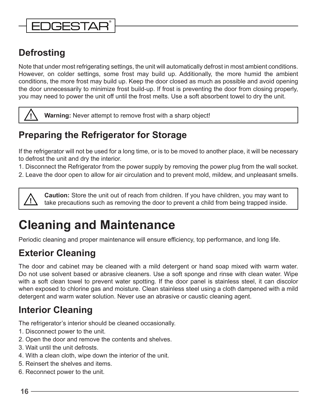### <span id="page-15-0"></span>**JGESTAF**

### **Defrosting**

Note that under most refrigerating settings, the unit will automatically defrost in most ambient conditions. However, on colder settings, some frost may build up. Additionally, the more humid the ambient conditions, the more frost may build up. Keep the door closed as much as possible and avoid opening the door unnecessarily to minimize frost build-up. If frost is preventing the door from closing properly, you may need to power the unit off until the frost melts. Use a soft absorbent towel to dry the unit.



**! Warning:** Never attempt to remove frost with a sharp object!

### **Preparing the Refrigerator for Storage**

If the refrigerator will not be used for a long time, or is to be moved to another place, it will be necessary to defrost the unit and dry the interior.

1. Disconnect the Refrigerator from the power supply by removing the power plug from the wall socket.

2. Leave the door open to allow for air circulation and to prevent mold, mildew, and unpleasant smells.

**Caution:** Store the unit out of reach from children. If you have children, you may want to take precautions such as removing the door to prevent a child from being trapped inside. **!**

## **Cleaning and Maintenance**

Periodic cleaning and proper maintenance will ensure efficiency, top performance, and long life.

### **Exterior Cleaning**

The door and cabinet may be cleaned with a mild detergent or hand soap mixed with warm water. Do not use solvent based or abrasive cleaners. Use a soft sponge and rinse with clean water. Wipe with a soft clean towel to prevent water spotting. If the door panel is stainless steel, it can discolor when exposed to chlorine gas and moisture. Clean stainless steel using a cloth dampened with a mild detergent and warm water solution. Never use an abrasive or caustic cleaning agent.

### **Interior Cleaning**

The refrigerator's interior should be cleaned occasionally.

- 1. Disconnect power to the unit.
- 2. Open the door and remove the contents and shelves.
- 3. Wait until the unit defrosts.
- 4. With a clean cloth, wipe down the interior of the unit.
- 5. Reinsert the shelves and items.
- 6. Reconnect power to the unit.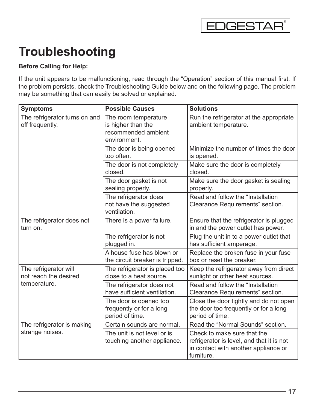## <span id="page-16-0"></span>**Troubleshooting**

#### **Before Calling for Help:**

If the unit appears to be malfunctioning, read through the "Operation" section of this manual first. If the problem persists, check the Troubleshooting Guide below and on the following page. The problem may be something that can easily be solved or explained.

| <b>Symptoms</b>                                                | <b>Possible Causes</b>                                                            | <b>Solutions</b>                                                                                                               |
|----------------------------------------------------------------|-----------------------------------------------------------------------------------|--------------------------------------------------------------------------------------------------------------------------------|
| The refrigerator turns on and<br>off frequently.               | The room temperature<br>is higher than the<br>recommended ambient<br>environment. | Run the refrigerator at the appropriate<br>ambient temperature.                                                                |
|                                                                | The door is being opened<br>too often.                                            | Minimize the number of times the door<br>is opened.                                                                            |
|                                                                | The door is not completely<br>closed.                                             | Make sure the door is completely<br>closed.                                                                                    |
|                                                                | The door gasket is not<br>sealing properly.                                       | Make sure the door gasket is sealing<br>properly.                                                                              |
|                                                                | The refrigerator does<br>not have the suggested<br>ventilation.                   | Read and follow the "Installation<br>Clearance Requirements" section.                                                          |
| The refrigerator does not<br>turn on.                          | There is a power failure.                                                         | Ensure that the refrigerator is plugged<br>in and the power outlet has power.                                                  |
|                                                                | The refrigerator is not<br>plugged in.                                            | Plug the unit in to a power outlet that<br>has sufficient amperage.                                                            |
|                                                                | A house fuse has blown or<br>the circuit breaker is tripped.                      | Replace the broken fuse in your fuse<br>box or reset the breaker.                                                              |
| The refrigerator will<br>not reach the desired<br>temperature. | The refrigerator is placed too<br>close to a heat source.                         | Keep the refrigerator away from direct<br>sunlight or other heat sources.                                                      |
|                                                                | The refrigerator does not<br>have sufficient ventilation.                         | Read and follow the "Installation<br>Clearance Requirements" section.                                                          |
|                                                                | The door is opened too<br>frequently or for a long<br>period of time.             | Close the door tightly and do not open<br>the door too frequently or for a long<br>period of time.                             |
| The refrigerator is making<br>strange noises.                  | Certain sounds are normal.                                                        | Read the "Normal Sounds" section.                                                                                              |
|                                                                | The unit is not level or is<br>touching another appliance.                        | Check to make sure that the<br>refrigerator is level, and that it is not<br>in contact with another appliance or<br>furniture. |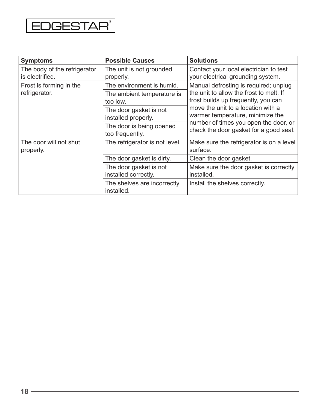## $\left\lfloor\text{\texttt{EDGESTAR}}\right\rfloor$

 $\overline{\phantom{0}}$ 

| <b>Symptoms</b>                                 | <b>Possible Causes</b>                         | <b>Solutions</b>                                                                                                                                          |  |
|-------------------------------------------------|------------------------------------------------|-----------------------------------------------------------------------------------------------------------------------------------------------------------|--|
| The body of the refrigerator<br>is electrified. | The unit is not grounded<br>properly.          | Contact your local electrician to test<br>your electrical grounding system.                                                                               |  |
| Frost is forming in the                         | The environment is humid.                      | Manual defrosting is required; unplug                                                                                                                     |  |
| refrigerator.                                   | The ambient temperature is<br>too low.         | the unit to allow the frost to melt. If<br>frost builds up frequently, you can                                                                            |  |
|                                                 | The door gasket is not<br>installed properly.  | move the unit to a location with a<br>warmer temperature, minimize the<br>number of times you open the door, or<br>check the door gasket for a good seal. |  |
|                                                 | The door is being opened<br>too frequently.    |                                                                                                                                                           |  |
| The door will not shut<br>properly.             | The refrigerator is not level.                 | Make sure the refrigerator is on a level<br>surface.                                                                                                      |  |
|                                                 | The door gasket is dirty.                      | Clean the door gasket.                                                                                                                                    |  |
|                                                 | The door gasket is not<br>installed correctly. | Make sure the door gasket is correctly<br>installed.                                                                                                      |  |
|                                                 | The shelves are incorrectly<br>installed.      | Install the shelves correctly.                                                                                                                            |  |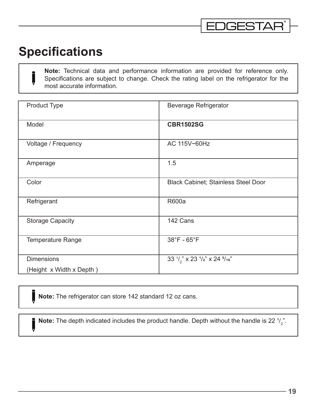## <span id="page-18-0"></span>**Specifications**

ı

**Note:** Technical data and performance information are provided for reference only. Specifications are subject to change. Check the rating label on the refrigerator for the most accurate information.

| <b>Product Type</b>      | <b>Beverage Refrigerator</b>                            |
|--------------------------|---------------------------------------------------------|
| Model                    | <b>CBR1502SG</b>                                        |
| Voltage / Frequency      | AC 115V~60Hz                                            |
| Amperage                 | 1.5                                                     |
| Color                    | <b>Black Cabinet; Stainless Steel Door</b>              |
| Refrigerant              | <b>R600a</b>                                            |
| <b>Storage Capacity</b>  | 142 Cans                                                |
| Temperature Range        | 38°F - 65°F                                             |
| <b>Dimensions</b>        | 33 $\frac{1}{2}$ x 23 $\frac{1}{2}$ x 24 $\frac{5}{16}$ |
| (Height x Width x Depth) |                                                         |

**Note:** The refrigerator can store 142 standard 12 oz cans.

**Note:** The depth indicated includes the product handle. Depth without the handle is 22  $\frac{1}{2}$ .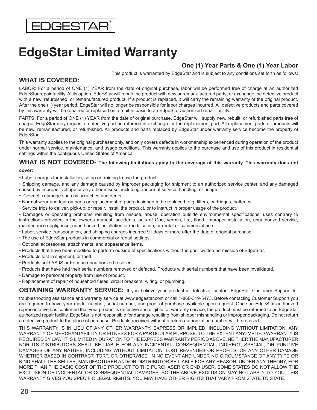## <span id="page-19-0"></span>**EdgeStar Limited Warranty**

#### **One (1) Year Parts & One (1) Year Labor**

This product is warranted by EdgeStar and is subject to any conditions set forth as follows:

#### **WHAT IS COVERED:**

LABOR: For a period of ONE (1) YEAR from the date of original purchase, labor will be performed free of charge at an authorized EdgeStar repair facility. At its option, EdgeStar will repair the product with new or remanufactured parts, or exchange the defective product with a new, refurbished, or remanufactured product. If a product is replaced, it will carry the remaining warranty of the original product. After the one (1) year period, EdgeStar will no longer be responsible for labor charges incurred. All defective products and parts covered by this warranty will be repaired or replaced on a mail-in basis to an EdgeStar authorized repair facility.

PARTS: For a period of ONE (1) YEAR from the date of original purchase, EdgeStar will supply new, rebuilt, or refurbished parts free of charge. EdgeStar may request a defective part be returned in exchange for the replacement part. All replacement parts or products will be new, remanufactured, or refurbished. All products and parts replaced by EdgeStar under warranty service become the property of EdgeStar.

This warranty applies to the original purchaser only, and only covers defects in workmanship experienced during operation of the product under normal service, maintenance, and usage conditions. This warranty applies to the purchase and use of this product in residential settings within the contiguous United States of America.

#### **WHAT IS NOT COVERED- The following limitations apply to the coverage of this warranty. This warranty does not cover:**

• Labor charges for installation, setup or training to use the product.

• Shipping damage, and any damage caused by improper packaging for shipment to an authorized service center, and any damaged caused by improper voltage or any other misuse, including abnormal service, handling, or usage.

- Cosmetic damage such as scratches and dents.
- Normal wear and tear on parts or replacement of parts designed to be replaced, e.g. filters, cartridges, batteries.
- Service trips to deliver, pick-up, or repair, install the product, or to instruct in proper usage of the product.

• Damages or operating problems resulting from misuse, abuse, operation outside environmental specifications, uses contrary to instructions provided in the owner's manual, accidents, acts of God, vermin, fire, flood, improper installation, unauthorized service, maintenance negligence, unauthorized installation or modification, or rental or commercial use.

- Labor, service transportation, and shipping charges incurred 91 days or more after the date of original purchase.
- The use of EdgeStar products in commercial or rental settings.
- Optional accessories, attachments, and appearance items.
- Products that have been modified to perform outside of specifications without the prior written permission of EdgeStar.
- Products lost in shipment, or theft.
- Products sold AS IS or from an unauthorized reseller.
- Products that have had their serial numbers removed or defaced. Products with serial numbers that have been invalidated.
- Damage to personal property from use of product.
- Replacement of repair of household fuses, circuit breakers, wiring, or plumbing.

**OBTAINING WARRANTY SERVICE:** If you believe your product is defective, contact EdgeStar Customer Support for

troubleshooting assistance and warranty service at www.edgestar.com or call 1-866-319-5473. Before contacting Customer Support you are required to have your model number, serial number, and proof of purchase available upon request. Once an EdgeStar authorized representative has confirmed that your product is defective and eligible for warranty service, the product must be returned to an EdgeStar authorized repair facility. EdgeStar is not responsible for damage resulting from shipper mishandling or improper packaging. Do not return a defective product to the place of purchase. Products received without a return authorization number will be refused.

THIS WARRANTY IS IN LIEU OF ANY OTHER WARRANTY, EXPRESS OR IMPLIED, INCLUDING WITHOUT LIMITATION, ANY WARRANTY OF MERCHANTABILITY OR FITNESS FOR A PARTICULAR PURPOSE. TO THE EXTENT ANY IMPLIED WARRANTY IS REQUIRED BY LAW, IT IS LIMITED IN DURATION TO THE EXPRESS WARRANTY PERIOD ABOVE. NEITHER THE MANUFACTURER NOR ITS DISTRIBUTORS SHALL BE LIABLE FOR ANY INCIDENTAL, CONSEQUENTIAL, INDIRECT, SPECIAL, OR PUNITIVE DAMAGES OF ANY NATURE, INCLUDING WITHOUT LIMITATION, LOST REVENUES OR PROFITS, OR ANY OTHER DAMAGE WHETHER BASED IN CONTRACT, TORT, OR OTHERWISE. IN NO EVENT AND UNDER NO CIRCUMSTANCE OF ANY TYPE OR KIND SHALL THE SELLER, MANUFACTURER AND/OR DISTRIBUTOR BE LIABLE FOR ANY REASON, UNDER ANY THEORY, FOR MORE THAN THE BASIC COST OF THE PRODUCT TO THE PURCHASER OR END USER. SOME STATES DO NOT ALLOW THE EXCLUSION OF INCIDENTAL OR CONSEQUENTIAL DAMAGES, SO THE ABOVE EXCLUSION MAY NOT APPLY TO YOU. THIS WARRANTY GIVES YOU SPECIFIC LEGAL RIGHTS. YOU MAY HAVE OTHER RIGHTS THAT VARY FROM STATE TO STATE.